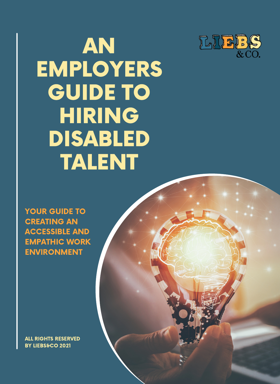

# AN EMPLOYERS GUIDE TO HIRING DISABLED TALENT

YOUR GUIDE TO CREATING AN ACCESSIBLE AND EMPATHIC WORK ENVIRONMENT

ALL RIGHTS RESERVED BY LIEBS&CO 2021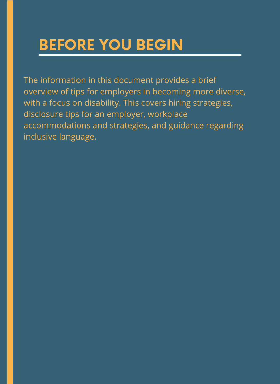### BEFORE YOU BEGIN

The information in this document provides a brief overview of tips for employers in becoming more diverse, with a focus on disability. This covers hiring strategies, disclosure tips for an employer, workplace accommodations and strategies, and guidance regarding inclusive language.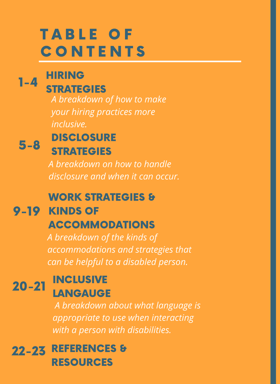## TABLE OF **CONTENTS**

#### HIRING **STRATEGIES**  $1 - 4$

*A breakdown of how to make your hiring practices more inclusive.*

#### **DISCLOSURE STRATEGIES** 5-8

*A breakdown on how to handle disclosure and when it can occur.*

### WORK STRATEGIES &

### 9-19 KINDS OF

### ACCOMMODATIONS

*A breakdown of the kinds of accommodations and strategies that can be helpful to a disabled person.*

#### **INCLUSIVE LANGAUGE** 20-21

*A breakdown about what language is appropriate to use when interacting with a person with disabilities.*

22-23 REFERENCES & RESOURCES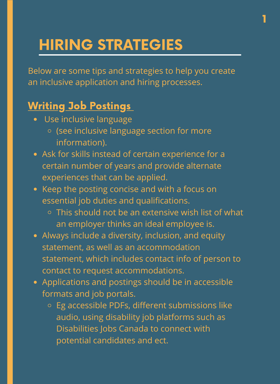Below are some tips and strategies to help you create an inclusive application and hiring processes.

1

### Writing Job Postings

- Use inclusive language
	- (see inclusive language section for more information).
- Ask for skills instead of certain experience for a certain number of years and provide alternate experiences that can be applied.
- Keep the posting concise and with a focus on essential job duties and qualifications.
	- This should not be an extensive wish list of what an employer thinks an ideal employee is.
- Always include a diversity, inclusion, and equity statement, as well as an accommodation statement, which includes contact info of person to contact to request accommodations.
- Applications and postings should be in accessible formats and job portals.
	- Eg accessible PDFs, different submissions like audio, using disability job platforms such as Disabilities Jobs Canada to connect with potential candidates and ect.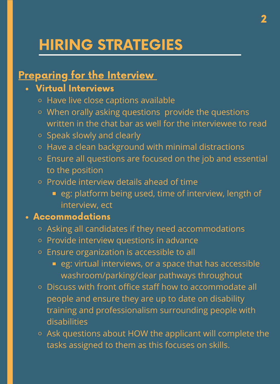### **Preparing for the Interview**

### Virtual Interviews

- o Have live close captions available
- When orally asking questions provide the questions written in the chat bar as well for the interviewee to read
- o Speak slowly and clearly
- o Have a clean background with minimal distractions
- Ensure all questions are focused on the job and essential to the position
- o Provide interview details ahead of time
	- **eg: platform being used, time of interview, length of** interview, ect

#### Accommodations

- Asking all candidates if they need accommodations
- o Provide interview questions in advance
- o Ensure organization is accessible to all
	- **eg: virtual interviews, or a space that has accessible** washroom/parking/clear pathways throughout
- Discuss with front office staff how to accommodate all people and ensure they are up to date on disability training and professionalism surrounding people with disabilities
- Ask questions about HOW the applicant will complete the tasks assigned to them as this focuses on skills.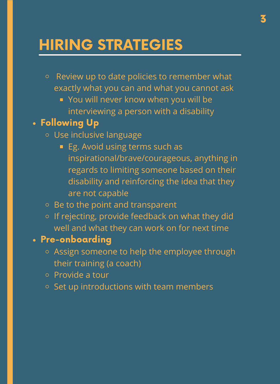- Review up to date policies to remember what  $\circ$ exactly what you can and what you cannot ask
	- **You will never know when you will be** interviewing a person with a disability

### Following Up

- Use inclusive language
	- **Eg.** Avoid using terms such as inspirational/brave/courageous, anything in regards to limiting someone based on their disability and reinforcing the idea that they are not capable
- $\circ$  Be to the point and transparent
- o If rejecting, provide feedback on what they did well and what they can work on for next time

### Pre-onboarding

- o Assign someone to help the employee through their training (a coach)
- Provide a tour
- $\circ$  Set up introductions with team members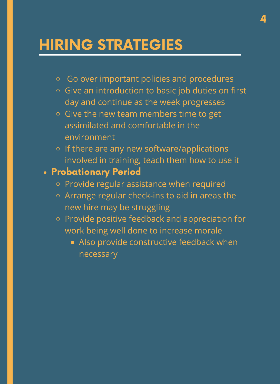- Go over important policies and procedures
- Give an introduction to basic job duties on first day and continue as the week progresses
- $\circ$  Give the new team members time to get assimilated and comfortable in the environment
- $\circ$  If there are any new software/applications involved in training, teach them how to use it

#### Probationary Period

- o Provide regular assistance when required
- Arrange regular check-ins to aid in areas the new hire may be struggling
- o Provide positive feedback and appreciation for work being well done to increase morale
	- Also provide constructive feedback when necessary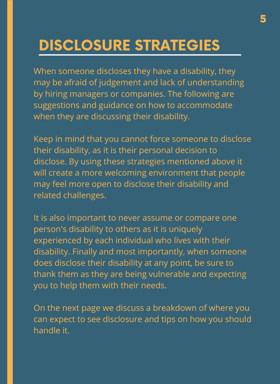When someone discloses they have a disability, they may be afraid of judgement and lack of understanding by hiring managers or companies. The following are suggestions and guidance on how to accommodate when they are discussing their disability.

Keep in mind that you cannot force someone to disclose their disability, as it is their personal decision to disclose. By using these strategies mentioned above it will create a more welcoming environment that people may feel more open to disclose their disability and related challenges.

It is also important to never assume or compare one person's disability to others as it is uniquely experienced by each individual who lives with their disability. Finally and most importantly, when someone does disclose their disability at any point, be sure to thank them as they are being vulnerable and expecting you to help them with their needs.

On the next page we discuss a breakdown of where you can expect to see disclosure and tips on how you should handle it.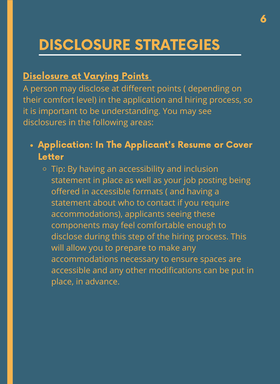#### **Disclosure at Varying Points**

A person may disclose at different points ( depending on their comfort level) in the application and hiring process, so it is important to be understanding. You may see disclosures in the following areas:

- Application: In The Applicant's Resume or Cover Letter
	- Tip: By having an accessibility and inclusion statement in place as well as your job posting being offered in accessible formats ( and having a statement about who to contact if you require accommodations), applicants seeing these components may feel comfortable enough to disclose during this step of the hiring process. This will allow you to prepare to make any accommodations necessary to ensure spaces are accessible and any other modifications can be put in place, in advance.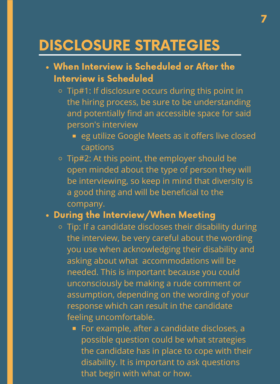- When Interview is Scheduled or After the Interview is Scheduled
	- Tip#1: If disclosure occurs during this point in the hiring process, be sure to be understanding and potentially find an accessible space for said person's interview
		- **Example 3 random** eg utilize Google Meets as it offers live closed captions
	- Tip#2: At this point, the employer should be open minded about the type of person they will be interviewing, so keep in mind that diversity is a good thing and will be beneficial to the company.

#### During the Interview/When Meeting

- o Tip: If a candidate discloses their disability during the interview, be very careful about the wording you use when acknowledging their disability and asking about what accommodations will be needed. This is important because you could unconsciously be making a rude comment or assumption, depending on the wording of your response which can result in the candidate feeling uncomfortable.
	- For example, after a candidate discloses, a possible question could be what strategies the candidate has in place to cope with their disability. It is important to ask questions that begin with what or how.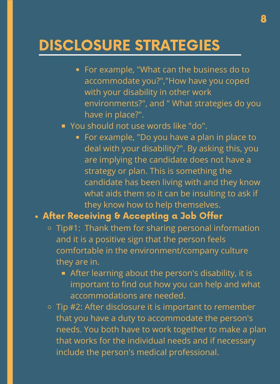- For example, "What can the business do to accommodate you?","How have you coped with your disability in other work environments?", and " What strategies do you have in place?".
- **You should not use words like "do".** 
	- For example, "Do you have a plan in place to deal with your disability?". By asking this, you are implying the candidate does not have a strategy or plan. This is something the candidate has been living with and they know what aids them so it can be insulting to ask if they know how to help themselves.

#### After Receiving & Accepting a Job Offer

- $\circ$  Tip#1: Thank them for sharing personal information and it is a positive sign that the person feels comfortable in the environment/company culture they are in.
	- **After learning about the person's disability, it is** important to find out how you can help and what accommodations are needed.
- o Tip #2: After disclosure it is important to remember that you have a duty to accommodate the person's needs. You both have to work together to make a plan that works for the individual needs and if necessary include the person's medical professional.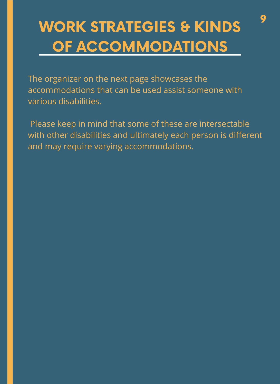## **WORK STRATEGIES & KINDS** OF ACCOMMODATIONS

The organizer on the next page showcases the accommodations that can be used assist someone with various disabilities.

Please keep in mind that some of these are intersectable with other disabilities and ultimately each person is different and may require varying accommodations.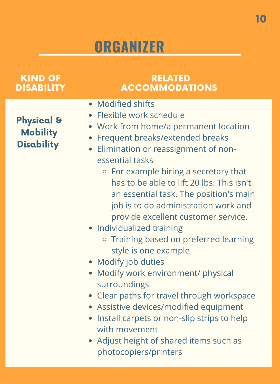| <b>KIND OF</b><br><b>DISABILITY</b>                           | <b>RELATED</b><br><b>ACCOMMODATIONS</b>                                                                                                                                                                                                                                                                                                                                                                                                 |
|---------------------------------------------------------------|-----------------------------------------------------------------------------------------------------------------------------------------------------------------------------------------------------------------------------------------------------------------------------------------------------------------------------------------------------------------------------------------------------------------------------------------|
| <b>Physical &amp;</b><br><b>Mobility</b><br><b>Disability</b> | • Modified shifts<br>• Flexible work schedule<br>• Work from home/a permanent location<br>Frequent breaks/extended breaks<br>• Elimination or reassignment of non-<br>essential tasks<br>$\circ$ For example hiring a secretary that<br>has to be able to lift 20 lbs. This isn't<br>an essential task. The position's main<br>job is to do administration work and<br>provide excellent customer service.<br>• Individualized training |
|                                                               | ○ Training based on preferred learning<br>style is one example<br>• Modify job duties<br>Modify work environment/ physical<br>surroundings<br>• Clear paths for travel through workspace<br>• Assistive devices/modified equipment<br>Install carpets or non-slip strips to help<br>with movement<br>• Adjust height of shared items such as<br>photocopiers/printers                                                                   |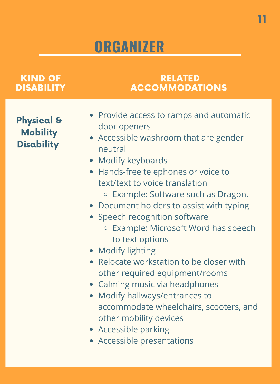### KIND OF **DISABILITY**

#### RELATED ACCOMMODATIONS

Physical & **Mobility** Disability

- Provide access to ramps and automatic door openers
- Accessible washroom that are gender neutral
- Modify keyboards
- Hands-free telephones or voice to text/text to voice translation
	- o Example: Software such as Dragon.
- Document holders to assist with typing
- Speech recognition software
	- o Example: Microsoft Word has speech to text options
- Modify lighting
- Relocate workstation to be closer with other required equipment/rooms
- Calming music via headphones
- Modify hallways/entrances to accommodate wheelchairs, scooters, and other mobility devices
- Accessible parking
- Accessible presentations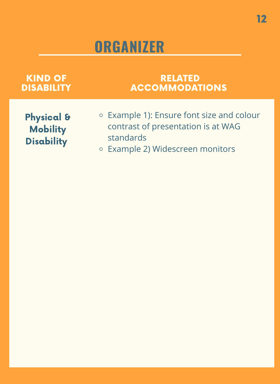| <b>KIND OF</b>                                                | <b>RELATED</b>                                                                                                                   |
|---------------------------------------------------------------|----------------------------------------------------------------------------------------------------------------------------------|
| <b>DISABILITY</b>                                             | <b>ACCOMMODATIONS</b>                                                                                                            |
| <b>Physical &amp;</b><br><b>Mobility</b><br><b>Disability</b> | ○ Example 1): Ensure font size and colour<br>contrast of presentation is at WAG<br>standards<br>○ Example 2) Widescreen monitors |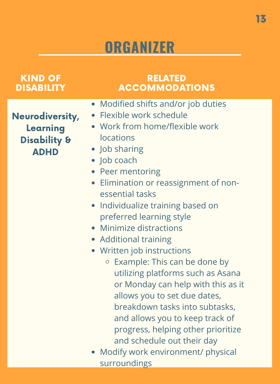| <b>KIND OF</b>                                                        | <b>RELATED</b>                                                                                                                                                                                                                                                                                                                                                                                                                                                                                                                                                                                                                                                                                                                                     |
|-----------------------------------------------------------------------|----------------------------------------------------------------------------------------------------------------------------------------------------------------------------------------------------------------------------------------------------------------------------------------------------------------------------------------------------------------------------------------------------------------------------------------------------------------------------------------------------------------------------------------------------------------------------------------------------------------------------------------------------------------------------------------------------------------------------------------------------|
| <b>DISABILITY</b>                                                     | <b>ACCOMMODATIONS</b>                                                                                                                                                                                                                                                                                                                                                                                                                                                                                                                                                                                                                                                                                                                              |
| Neurodiversity,<br>Learning<br><b>Disability &amp;</b><br><b>ADHD</b> | • Modified shifts and/or job duties<br>• Flexible work schedule<br>• Work from home/flexible work<br>locations<br>• Job sharing<br>$\bullet$ Job coach<br>• Peer mentoring<br>• Elimination or reassignment of non-<br>essential tasks<br>• Individualize training based on<br>preferred learning style<br>• Minimize distractions<br>• Additional training<br>• Written job instructions<br>Example: This can be done by<br>$\bigcirc$<br>utilizing platforms such as Asana<br>or Monday can help with this as it<br>allows you to set due dates,<br>breakdown tasks into subtasks,<br>and allows you to keep track of<br>progress, helping other prioritize<br>and schedule out their day<br>• Modify work environment/ physical<br>surroundings |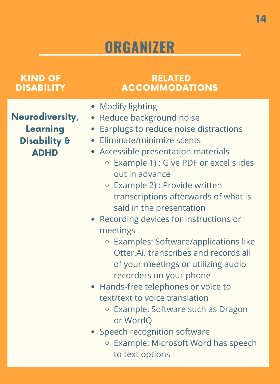### KIND OF DISABILITY

### RELATED ACCOMMODATIONS

- Neurodiversity, Learning Disability & ADHD
- Modify lighting
- Reduce background noise
- Earplugs to reduce noise distractions
- Eliminate/minimize scents
- Accessible presentation materials
	- Example 1) : Give PDF or excel slides out in advance
	- Example 2) : Provide written transcriptions afterwards of what is said in the presentation
- Recording devices for instructions or meetings
	- Examples: Software/applications like Otter.Ai. transcribes and records all of your meetings or utilizing audio recorders on your phone
- Hands-free telephones or voice to text/text to voice translation
	- Example: Software such as Dragon or WordQ
- Speech recognition software
	- o Example: Microsoft Word has speech to text options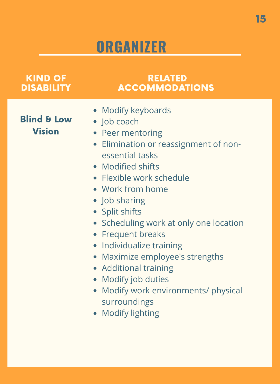| <b>KIND OF</b><br><b>DISABILITY</b>     | <b>RELATED</b><br><b>ACCOMMODATIONS</b>                                                                                                                                                                                                                                                                                                                                                                                                                                                    |
|-----------------------------------------|--------------------------------------------------------------------------------------------------------------------------------------------------------------------------------------------------------------------------------------------------------------------------------------------------------------------------------------------------------------------------------------------------------------------------------------------------------------------------------------------|
| <b>Blind &amp; Low</b><br><b>Vision</b> | • Modify keyboards<br>$\bullet$ Job coach<br>• Peer mentoring<br>• Elimination or reassignment of non-<br>essential tasks<br>• Modified shifts<br>• Flexible work schedule<br>• Work from home<br>• Job sharing<br>• Split shifts<br>• Scheduling work at only one location<br>• Frequent breaks<br>• Individualize training<br>• Maximize employee's strengths<br>• Additional training<br>Modify job duties<br>• Modify work environments/ physical<br>surroundings<br>• Modify lighting |
|                                         |                                                                                                                                                                                                                                                                                                                                                                                                                                                                                            |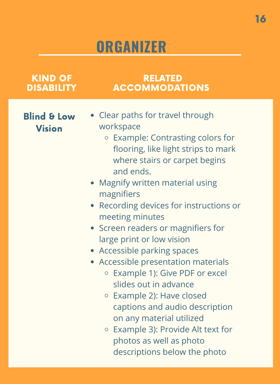| <b>KIND OF</b>                          | <b>RELATED</b>                                                                                                                                                                                                                                                                                                                                                                                                                                                                                                                                                                                                                                                                                       |
|-----------------------------------------|------------------------------------------------------------------------------------------------------------------------------------------------------------------------------------------------------------------------------------------------------------------------------------------------------------------------------------------------------------------------------------------------------------------------------------------------------------------------------------------------------------------------------------------------------------------------------------------------------------------------------------------------------------------------------------------------------|
| <b>DISABILITY</b>                       | <b>ACCOMMODATIONS</b>                                                                                                                                                                                                                                                                                                                                                                                                                                                                                                                                                                                                                                                                                |
| <b>Blind &amp; Low</b><br><b>Vision</b> | • Clear paths for travel through<br>workspace<br>○ Example: Contrasting colors for<br>flooring, like light strips to mark<br>where stairs or carpet begins<br>and ends.<br>• Magnify written material using<br>magnifiers<br>• Recording devices for instructions or<br>meeting minutes<br>• Screen readers or magnifiers for<br>large print or low vision<br>• Accessible parking spaces<br>• Accessible presentation materials<br>○ Example 1): Give PDF or excel<br>slides out in advance<br>$\circ$ Example 2): Have closed<br>captions and audio description<br>on any material utilized<br>$\circ$ Example 3): Provide Alt text for<br>photos as well as photo<br>descriptions below the photo |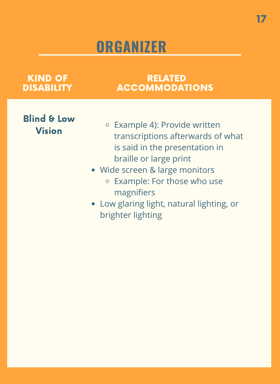#### KIND OF **DISABILITY**

#### RELATED ACCOMMODATIONS

### Blind & Low Vision

- Example 4): Provide written transcriptions afterwards of what is said in the presentation in braille or large print
- Wide screen & large monitors
	- o Example: For those who use magnifiers
- Low glaring light, natural lighting, or brighter lighting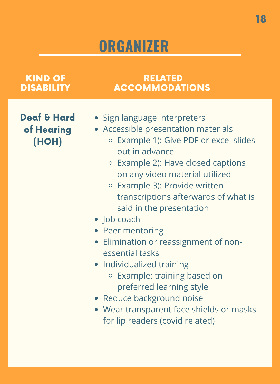#### KIND OF **DISABILITY**

#### RELATED ACCOMMODATIONS

Deaf & Hard of Hearing (HOH)

- Sign language interpreters
- Accessible presentation materials
	- Example 1): Give PDF or excel slides out in advance
	- o Example 2): Have closed captions on any video material utilized
	- Example 3): Provide written transcriptions afterwards of what is said in the presentation
- Job coach
- Peer mentoring
- Elimination or reassignment of nonessential tasks
- Individualized training
	- Example: training based on preferred learning style
- Reduce background noise
- Wear transparent face shields or masks for lip readers (covid related)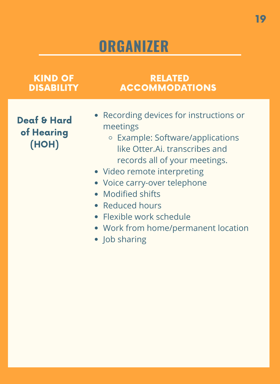| KIND OF                                       | RELATED                                                                                                                                                                                                                                                                                                                                               |
|-----------------------------------------------|-------------------------------------------------------------------------------------------------------------------------------------------------------------------------------------------------------------------------------------------------------------------------------------------------------------------------------------------------------|
| <b>DISABILITY</b>                             | <b>ACCOMMODATIONS</b>                                                                                                                                                                                                                                                                                                                                 |
| <b>Deaf &amp; Hard</b><br>of Hearing<br>(HOH) | • Recording devices for instructions or<br>meetings<br>○ Example: Software/applications<br>like Otter Ai, transcribes and<br>records all of your meetings.<br>• Video remote interpreting<br>• Voice carry-over telephone<br>• Modified shifts<br>• Reduced hours<br>• Flexible work schedule<br>• Work from home/permanent location<br>• Job sharing |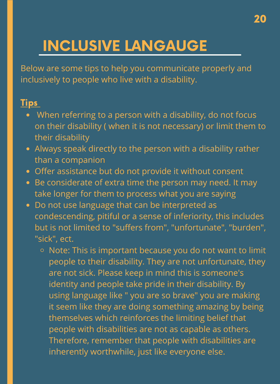## INCLUSIVE LANGAUGE

Below are some tips to help you communicate properly and inclusively to people who live with a disability.

### **Tips**

- When referring to a person with a disability, do not focus on their disability ( when it is not necessary) or limit them to their disability
- Always speak directly to the person with a disability rather than a companion
- Offer assistance but do not provide it without consent
- Be considerate of extra time the person may need. It may take longer for them to process what you are saying
- Do not use language that can be interpreted as condescending, pitiful or a sense of inferiority, this includes but is not limited to "suffers from", "unfortunate", "burden", "sick", ect.
	- $\circ$  Note: This is important because you do not want to limit people to their disability. They are not unfortunate, they are not sick. Please keep in mind this is someone's identity and people take pride in their disability. By using language like " you are so brave" you are making it seem like they are doing something amazing by being themselves which reinforces the limiting belief that people with disabilities are not as capable as others. Therefore, remember that people with disabilities are inherently worthwhile, just like everyone else.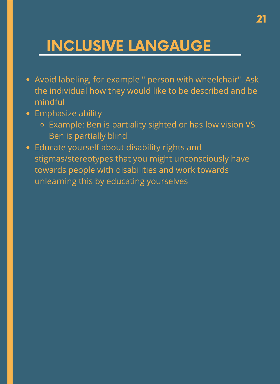### INCLUSIVE LANGAUGE

- Avoid labeling, for example " person with wheelchair". Ask the individual how they would like to be described and be mindful
- Emphasize ability
	- Example: Ben is partiality sighted or has low vision VS Ben is partially blind
- Educate yourself about disability rights and stigmas/stereotypes that you might unconsciously have towards people with disabilities and work towards unlearning this by educating yourselves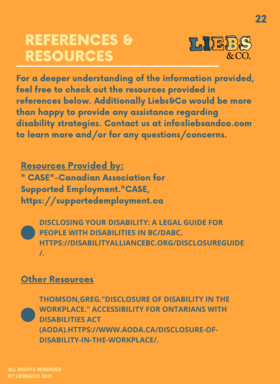### REFERENCES & RESOURCES



22

For a deeper understanding of the information provided, feel free to check out the resources provided in references below. Additionally Liebs&Co would be more than happy to provide any assistance regarding disability strategies. Contact us at info@liebsandco.com to learn more and/or for any questions/concerns.

Resources Provided by: " CASE"-Canadian Association for Supported Employment."CASE, https://supportedemployment.ca

**DISCLOSING YOUR DISABILITY: A LEGAL GUIDE FOR PEOPLE WITH DISABILITIES IN BC/DABC. HTTPS://DISABILITYALLIANCEBC.ORG/DISCLOSUREGUIDE /.**

### **Other Resources**

**THOMSON,GREG."DISCLOSURE OF DISABILITY IN THE WORKPLACE." ACCESSIBILITY FOR ONTARIANS WITH DISABILITIES ACT (AODA).HTTPS://WWW.AODA.CA/DISCLOSURE-OF-DISABILITY-IN-THE-WORKPLACE/.**